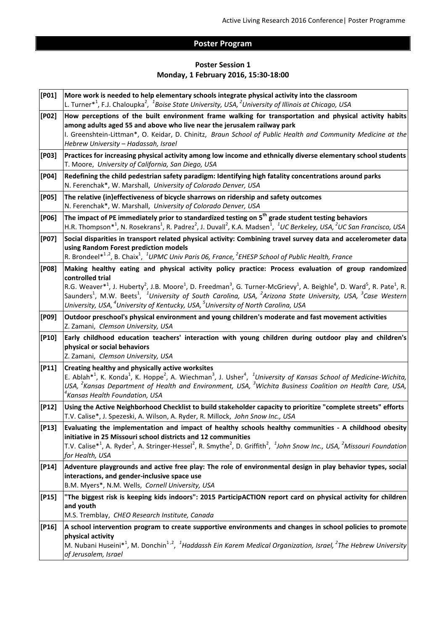## **Poster Program**

## **Poster Session 1 Monday, 1 February 2016, 15:30-18:00**

| $[PO1]$   | More work is needed to help elementary schools integrate physical activity into the classroom<br>L. Turner* <sup>1</sup> , F.J. Chaloupka <sup>2</sup> , <sup>1</sup> Boise State University, USA, <sup>2</sup> University of Illinois at Chicago, USA                                                                                                                                                                                                                                                                                                                                                                                     |
|-----------|--------------------------------------------------------------------------------------------------------------------------------------------------------------------------------------------------------------------------------------------------------------------------------------------------------------------------------------------------------------------------------------------------------------------------------------------------------------------------------------------------------------------------------------------------------------------------------------------------------------------------------------------|
| $[PO2]$   | How perceptions of the built environment frame walking for transportation and physical activity habits<br>among adults aged 55 and above who live near the jerusalem railway park<br>I. Greenshtein-Littman*, O. Keidar, D. Chinitz, Braun School of Public Health and Community Medicine at the<br>Hebrew University - Hadassah, Israel                                                                                                                                                                                                                                                                                                   |
| [PO3]     | Practices for increasing physical activity among low income and ethnically diverse elementary school students<br>T. Moore, University of California, San Diego, USA                                                                                                                                                                                                                                                                                                                                                                                                                                                                        |
| [PO4]     | Redefining the child pedestrian safety paradigm: Identifying high fatality concentrations around parks<br>N. Ferenchak*, W. Marshall, University of Colorado Denver, USA                                                                                                                                                                                                                                                                                                                                                                                                                                                                   |
| [PO5]     | The relative (in)effectiveness of bicycle sharrows on ridership and safety outcomes<br>N. Ferenchak*, W. Marshall, University of Colorado Denver, USA                                                                                                                                                                                                                                                                                                                                                                                                                                                                                      |
| [PO6]     | The impact of PE immediately prior to standardized testing on $5^{th}$ grade student testing behaviors<br>H.R. Thompson* <sup>1</sup> , N. Rosekrans <sup>1</sup> , R. Padrez <sup>2</sup> , J. Duvall <sup>2</sup> , K.A. Madsen <sup>1</sup> , <sup>1</sup> UC Berkeley, USA, <sup>2</sup> UC San Francisco, USA                                                                                                                                                                                                                                                                                                                         |
| [PO7]     | Social disparities in transport related physical activity: Combining travel survey data and accelerometer data<br>using Random Forest prediction models<br>R. Brondeel* <sup>1,2</sup> , B. Chaix <sup>1</sup> , <sup>1</sup> UPMC Univ Paris 06, France, <sup>2</sup> EHESP School of Public Health, France                                                                                                                                                                                                                                                                                                                               |
| [PO8]     | Making healthy eating and physical activity policy practice: Process evaluation of group randomized<br>controlled trial<br>R.G. Weaver <sup>*1</sup> , J. Huberty <sup>2</sup> , J.B. Moore <sup>1</sup> , D. Freedman <sup>3</sup> , G. Turner-McGrievy <sup>1</sup> , A. Beighle <sup>4</sup> , D. Ward <sup>5</sup> , R. Pate <sup>1</sup> , R.<br>Saunders <sup>1</sup> , M.W. Beets <sup>1</sup> , <sup>1</sup> University of South Carolina, USA, <sup>2</sup> Arizona State University, USA, <sup>3</sup> Case Western<br>University, USA, <sup>4</sup> University of Kentucky, USA, <sup>5</sup> University of North Carolina, USA |
| [PO9]     | Outdoor preschool's physical environment and young children's moderate and fast movement activities<br>Z. Zamani, Clemson University, USA                                                                                                                                                                                                                                                                                                                                                                                                                                                                                                  |
| $[P10]$   | Early childhood education teachers' interaction with young children during outdoor play and children's<br>physical or social behaviors<br>Z. Zamani, Clemson University, USA                                                                                                                                                                                                                                                                                                                                                                                                                                                               |
| $[ P11 ]$ | Creating healthy and physically active worksites<br>E. Ablah <sup>*1</sup> , K. Konda <sup>1</sup> , K. Hoppe <sup>2</sup> , A. Wiechman <sup>3</sup> , J. Usher <sup>4</sup> , <sup>1</sup> University of Kansas School of Medicine-Wichita,<br>USA, <sup>2</sup> Kansas Department of Health and Environment, USA, <sup>3</sup> Wichita Business Coalition on Health Care, USA,<br>$\mathrm{^4}$ Kansas Health Foundation, USA                                                                                                                                                                                                           |
| $[P12]$   | Using the Active Neighborhood Checklist to build stakeholder capacity to prioritize "complete streets" efforts<br>T.V. Calise*, J. Spezeski, A. Wilson, A. Ryder, R. Millock, John Snow Inc., USA                                                                                                                                                                                                                                                                                                                                                                                                                                          |
| $[P13]$   | Evaluating the implementation and impact of healthy schools healthy communities - A childhood obesity<br>initiative in 25 Missouri school districts and 12 communities<br>T.V. Calise <sup>*1</sup> , A. Ryder <sup>1</sup> , A. Stringer-Hessel <sup>2</sup> , R. Smythe <sup>2</sup> , D. Griffith <sup>2</sup> , <sup>1</sup> John Snow Inc., USA, <sup>2</sup> Missouri Foundation<br>for Health, USA                                                                                                                                                                                                                                  |
| $[P14]$   | Adventure playgrounds and active free play: The role of environmental design in play behavior types, social<br>interactions, and gender-inclusive space use<br>B.M. Myers*, N.M. Wells, Cornell University, USA                                                                                                                                                                                                                                                                                                                                                                                                                            |
| $[P15]$   | "The biggest risk is keeping kids indoors": 2015 ParticipACTION report card on physical activity for children<br>and youth<br>M.S. Tremblay, CHEO Research Institute, Canada                                                                                                                                                                                                                                                                                                                                                                                                                                                               |
| $[P16]$   | A school intervention program to create supportive environments and changes in school policies to promote<br>physical activity<br>M. Nubani Huseini* <sup>1</sup> , M. Donchin <sup>1,2</sup> , <sup>1</sup> Haddassh Ein Karem Medical Organization, Israel, <sup>2</sup> The Hebrew University<br>of Jerusalem, Israel                                                                                                                                                                                                                                                                                                                   |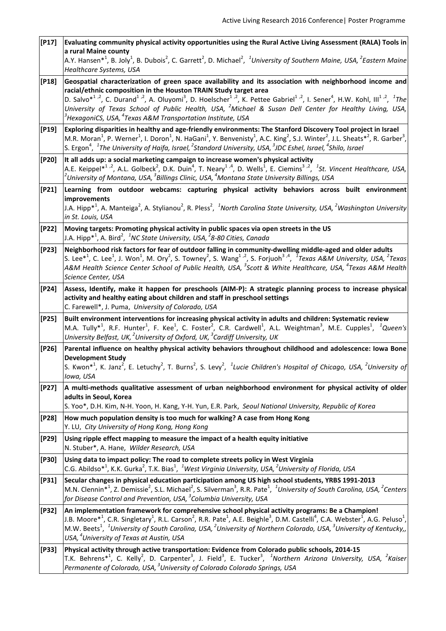| Evaluating community physical activity opportunities using the Rural Active Living Assessment (RALA) Tools in<br>a rural Maine county<br>A.Y. Hansen <sup>*1</sup> , B. Joly <sup>1</sup> , B. Dubois <sup>2</sup> , C. Garrett <sup>2</sup> , D. Michael <sup>2</sup> , <sup>1</sup> University of Southern Maine, USA, <sup>2</sup> Eastern Maine                                                                                                                                                                                                                                                    |
|--------------------------------------------------------------------------------------------------------------------------------------------------------------------------------------------------------------------------------------------------------------------------------------------------------------------------------------------------------------------------------------------------------------------------------------------------------------------------------------------------------------------------------------------------------------------------------------------------------|
| Healthcare Systems, USA                                                                                                                                                                                                                                                                                                                                                                                                                                                                                                                                                                                |
| Geospatial characterization of green space availability and its association with neighborhood income and<br>racial/ethnic composition in the Houston TRAIN Study target area<br>D. Salvo* <sup>1,2</sup> , C. Durand <sup>1,2</sup> , A. Oluyomi <sup>3</sup> , D. Hoelscher <sup>1,2</sup> , K. Pettee Gabriel <sup>1,2</sup> , I. Sener <sup>4</sup> , H.W. Kohl, III <sup>1,2</sup> , <sup>1</sup> The<br>University of Texas School of Public Health, USA, <sup>2</sup> Michael & Susan Dell Center for Healthy Living, USA,<br>$^3$ HexagoniCS, USA, $^4$ Texas A&M Transportation Institute, USA |
| Exploring disparities in healthy and age-friendly environments: The Stanford Discovery Tool project in Israel<br>M.R. Moran <sup>1</sup> , P. Werner <sup>1</sup> , I. Doron <sup>1</sup> , N. HaGani <sup>1</sup> , Y. Benvenisty <sup>1</sup> , A.C. King <sup>2</sup> , S.J. Winter <sup>2</sup> , J.L. Sheats* <sup>2</sup> , R. Garber <sup>3</sup> ,<br>S. Ergon $^4$ , $^1$ The University of Haifa, Israel, $^2$ Standord University, USA, $^3$ JDC Eshel, Israel, $^4$ Shilo, Israel                                                                                                          |
| It all adds up: a social marketing campaign to increase women's physical activity<br>A.E. Keippel* <sup>1,2</sup> , A.L. Golbeck <sup>2</sup> , D.K. Duin <sup>4</sup> , T. Neary <sup>1,4</sup> , D. Wells <sup>1</sup> , E. Ciemins <sup>3,2</sup> , <sup>1</sup> St. Vincent Healthcare, USA,<br>$^2$ University of Montana, USA, $^3$ Billings Clinic, USA, $^4$ Montana State University Billings, USA                                                                                                                                                                                            |
| Learning from outdoor webcams: capturing physical activity behaviors across built environment<br>improvements<br>J.A. Hipp <sup>*1</sup> , A. Manteiga <sup>2</sup> , A. Stylianou <sup>2</sup> , R. Pless <sup>2</sup> , <sup>1</sup> North Carolina State University, USA, <sup>2</sup> Washington University<br>in St. Louis, USA                                                                                                                                                                                                                                                                   |
| Moving targets: Promoting physical activity in public spaces via open streets in the US<br>J.A. Hipp <sup>*1</sup> , A. Bird <sup>2</sup> , <sup>1</sup> NC State University, USA, <sup>2</sup> 8-80 Cities, Canada                                                                                                                                                                                                                                                                                                                                                                                    |
| Neighborhood risk factors for fear of outdoor falling in community-dwelling middle-aged and older adults<br>S. Lee <sup>*1</sup> , C. Lee <sup>1</sup> , J. Won <sup>1</sup> , M. Ory <sup>2</sup> , S. Towney <sup>2</sup> , S. Wang <sup>1,2</sup> , S. Forjuoh <sup>3,4</sup> , <sup>1</sup> Texas A&M University, USA, <sup>2</sup> Texas<br>A&M Health Science Center School of Public Health, USA, <sup>3</sup> Scott & White Healthcare, USA, <sup>4</sup> Texas A&M Health<br>Science Center, USA                                                                                              |
| Assess, Identify, make it happen for preschools (AIM-P): A strategic planning process to increase physical<br>activity and healthy eating about children and staff in preschool settings<br>C. Farewell*, J. Puma, University of Colorado, USA                                                                                                                                                                                                                                                                                                                                                         |
| Built environment interventions for increasing physical activity in adults and children: Systematic review<br>M.A. Tully <sup>*1</sup> , R.F. Hunter <sup>1</sup> , F. Kee <sup>1</sup> , C. Foster <sup>2</sup> , C.R. Cardwell <sup>1</sup> , A.L. Weightman <sup>3</sup> , M.E. Cupples <sup>1</sup> , <sup>1</sup> Queen's<br>University Belfast, UK, <sup>2</sup> University of Oxford, UK, <sup>3</sup> Cardiff University, UK                                                                                                                                                                   |
| Parental influence on healthy physical activity behaviors throughout childhood and adolescence: Iowa Bone<br><b>Development Study</b><br>S. Kwon <sup>*1</sup> , K. Janz <sup>2</sup> , E. Letuchy <sup>2</sup> , T. Burns <sup>2</sup> , S. Levy <sup>2</sup> , <sup>1</sup> Lucie Children's Hospital of Chicago, USA, <sup>2</sup> University of<br>lowa, USA                                                                                                                                                                                                                                       |
| A multi-methods qualitative assessment of urban neighborhood environment for physical activity of older<br>adults in Seoul, Korea<br>S. Yoo*, D.H. Kim, N-H. Yoon, H. Kang, Y-H. Yun, E.R. Park, Seoul National University, Republic of Korea                                                                                                                                                                                                                                                                                                                                                          |
| How much population density is too much for walking? A case from Hong Kong<br>Y. LU, City University of Hong Kong, Hong Kong                                                                                                                                                                                                                                                                                                                                                                                                                                                                           |
| Using ripple effect mapping to measure the impact of a health equity initiative<br>N. Stuber*, A. Hane, Wilder Research, USA                                                                                                                                                                                                                                                                                                                                                                                                                                                                           |
| Using data to impact policy: The road to complete streets policy in West Virginia<br>C.G. Abildso* <sup>1</sup> , K.K. Gurka <sup>2</sup> , T.K. Bias <sup>1</sup> , <sup>1</sup> West Virginia University, USA, <sup>2</sup> University of Florida, USA                                                                                                                                                                                                                                                                                                                                               |
| Secular changes in physical education participation among US high school students, YRBS 1991-2013<br>M.N. Clennin <sup>*1</sup> , Z. Demissie <sup>2</sup> , S.L. Michael <sup>2</sup> , S. Silverman <sup>3</sup> , R.R. Pate <sup>1</sup> , <sup>1</sup> University of South Carolina, USA, <sup>2</sup> Centers<br>for Disease Control and Prevention, USA, $3$ Columbia University, USA                                                                                                                                                                                                            |
| An implementation framework for comprehensive school physical activity programs: Be a Champion!<br>J.B. Moore* <sup>1</sup> , C.R. Singletary <sup>1</sup> , R.L. Carson <sup>2</sup> , R.R. Pate <sup>1</sup> , A.E. Beighle <sup>3</sup> , D.M. Castelli <sup>4</sup> , C.A. Webster <sup>1</sup> , A.G. Peluso <sup>1</sup> ,<br>M.W. Beets <sup>1</sup> , <sup>1</sup> University of South Carolina, USA, <sup>2</sup> University of Northern Colorado, USA, <sup>3</sup> University of Kentucky,,<br>USA, <sup>4</sup> University of Texas at Austin, USA                                         |
| Physical activity through active transportation: Evidence from Colorado public schools, 2014-15<br>T.K. Behrens <sup>*1</sup> , C. Kelly <sup>2</sup> , D. Carpenter <sup>3</sup> , J. Field <sup>3</sup> , E. Tucker <sup>3</sup> , <sup>1</sup> Northern Arizona University, USA, <sup>2</sup> Kaiser<br>Permanente of Colorado, USA, <sup>3</sup> University of Colorado Colorado Springs, USA                                                                                                                                                                                                      |
|                                                                                                                                                                                                                                                                                                                                                                                                                                                                                                                                                                                                        |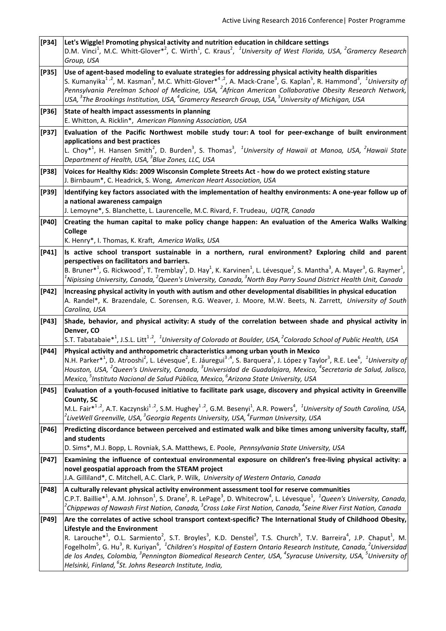| $[P34]$   | Let's Wiggle! Promoting physical activity and nutrition education in childcare settings<br>D.M. Vinci <sup>1</sup> , M.C. Whitt-Glover <sup>*2</sup> , C. Wirth <sup>1</sup> , C. Kraus <sup>2</sup> , <sup>1</sup> University of West Florida, USA, <sup>2</sup> Gramercy Research<br>Group, USA                                                                                                                                                                                                                                                                                                                                                                                                                                                                           |
|-----------|-----------------------------------------------------------------------------------------------------------------------------------------------------------------------------------------------------------------------------------------------------------------------------------------------------------------------------------------------------------------------------------------------------------------------------------------------------------------------------------------------------------------------------------------------------------------------------------------------------------------------------------------------------------------------------------------------------------------------------------------------------------------------------|
| $[P35]$   | Use of agent-based modeling to evaluate strategies for addressing physical activity health disparities<br>S. Kumanyika <sup>1,2</sup> , M. Kasman <sup>3</sup> , M.C. Whitt-Glover <sup>*4,2</sup> , A. Mack-Crane <sup>3</sup> , G. Kaplan <sup>5</sup> , R. Hammond <sup>3</sup> , <sup>1</sup> University of<br>Pennsylvania Perelman School of Medicine, USA, <sup>2</sup> African American Collaborative Obesity Research Network,<br>USA, <sup>3</sup> The Brookings Institution, USA, <sup>4</sup> Gramercy Research Group, USA, <sup>5</sup> University of Michigan, USA                                                                                                                                                                                            |
| $[P36]$   | State of health impact assessments in planning<br>E. Whitton, A. Ricklin*, American Planning Association, USA                                                                                                                                                                                                                                                                                                                                                                                                                                                                                                                                                                                                                                                               |
| $[P37]$   | Evaluation of the Pacific Northwest mobile study tour: A tool for peer-exchange of built environment<br>applications and best practices<br>L. Choy <sup>*1</sup> , H. Hansen Smith <sup>2</sup> , D. Burden <sup>3</sup> , S. Thomas <sup>3</sup> , <sup>1</sup> University of Hawaii at Manoa, USA, <sup>2</sup> Hawaii State<br>Department of Health, USA, <sup>3</sup> Blue Zones, LLC, USA                                                                                                                                                                                                                                                                                                                                                                              |
| $[P38]$   | Voices for Healthy Kids: 2009 Wisconsin Complete Streets Act - how do we protect existing stature<br>J. Birnbaum*, C. Headrick, S. Wong, American Heart Association, USA                                                                                                                                                                                                                                                                                                                                                                                                                                                                                                                                                                                                    |
| $[P39]$   | Identifying key factors associated with the implementation of healthy environments: A one-year follow up of<br>a national awareness campaign<br>J. Lemoyne*, S. Blanchette, L. Laurencelle, M.C. Rivard, F. Trudeau, UQTR, Canada                                                                                                                                                                                                                                                                                                                                                                                                                                                                                                                                           |
| $[P40]$   | Creating the human capital to make policy change happen: An evaluation of the America Walks Walking<br>College<br>K. Henry*, I. Thomas, K. Kraft, America Walks, USA                                                                                                                                                                                                                                                                                                                                                                                                                                                                                                                                                                                                        |
| $[P41]$   | Is active school transport sustainable in a northern, rural environment? Exploring child and parent<br>perspectives on facilitators and barriers.<br>B. Bruner* <sup>1</sup> , G. Rickwood <sup>1</sup> , T. Tremblay <sup>1</sup> , D. Hay <sup>1</sup> , K. Karvinen <sup>1</sup> , L. Lévesque <sup>2</sup> , S. Mantha <sup>3</sup> , A. Mayer <sup>3</sup> , G. Raymer <sup>1</sup> ,<br>$^1$ Nipissing University, Canada, $^2$ Queen's University, Canada, $^3$ North Bay Parry Sound District Health Unit, Canada                                                                                                                                                                                                                                                   |
| $[P42]$   | Increasing physical activity in youth with autism and other developmental disabilities in physical education<br>A. Randel*, K. Brazendale, C. Sorensen, R.G. Weaver, J. Moore, M.W. Beets, N. Zarrett, University of South<br>Carolina, USA                                                                                                                                                                                                                                                                                                                                                                                                                                                                                                                                 |
| $[P43]$   | Shade, behavior, and physical activity: A study of the correlation between shade and physical activity in<br>Denver, CO<br>S.T. Tabatabaie* <sup>1</sup> , J.S.L. Litt <sup>1,2</sup> , <sup>1</sup> University of Colorado at Boulder, USA, <sup>2</sup> Colorado School of Public Health, USA                                                                                                                                                                                                                                                                                                                                                                                                                                                                             |
| $[P44]$   | Physical activity and anthropometric characteristics among urban youth in Mexico<br>N.H. Parker* <sup>1</sup> , D. Atrooshi <sup>2</sup> , L. Lévesque <sup>2</sup> , E. Jáuregui <sup>3,4</sup> , S. Barquera <sup>5</sup> , J. López y Taylor <sup>3</sup> , R.E. Lee <sup>6</sup> , <sup>1</sup> University of<br>Houston, USA, <sup>2</sup> Queen's University, Canada, <sup>3</sup> Universidad de Guadalajara, Mexico, <sup>4</sup> Secretaria de Salud, Jalisco,<br>Mexico, <sup>5</sup> Instituto Nacional de Salud Pública, Mexico, <sup>6</sup> Arizona State University, USA                                                                                                                                                                                     |
| $[P45]$   | Evaluation of a youth-focused initiative to facilitate park usage, discovery and physical activity in Greenville<br>County, SC<br>M.L. Fair <sup>*1,2</sup> , A.T. Kaczynski <sup>1,2</sup> , S.M. Hughey <sup>1,2</sup> , G.M. Besenyi <sup>1</sup> , A.R. Powers <sup>4</sup> , <sup>1</sup> University of South Carolina, USA,<br>$^2$ LiveWell Greenville, USA, $^3$ Georgia Regents University, USA, $^4$ Furman University, USA                                                                                                                                                                                                                                                                                                                                       |
| $[P46]$   | Predicting discordance between perceived and estimated walk and bike times among university faculty, staff,<br>and students<br>D. Sims*, M.J. Bopp, L. Rovniak, S.A. Matthews, E. Poole, Pennsylvania State University, USA                                                                                                                                                                                                                                                                                                                                                                                                                                                                                                                                                 |
| $[ P47 ]$ | Examining the influence of contextual environmental exposure on children's free-living physical activity: a<br>novel geospatial approach from the STEAM project<br>J.A. Gilliland*, C. Mitchell, A.C. Clark, P. Wilk, University of Western Ontario, Canada                                                                                                                                                                                                                                                                                                                                                                                                                                                                                                                 |
| [P48]     | A culturally relevant physical activity environment assessment tool for reserve communities<br>C.P.T. Baillie <sup>*1</sup> , A.M. Johnson <sup>1</sup> , S. Drane <sup>2</sup> , R. LePage <sup>3</sup> , D. Whitecrow <sup>4</sup> , L. Lévesque <sup>1</sup> , <sup>1</sup> Queen's University, Canada,<br>$^2$ Chippewas of Nawash First Nation, Canada, $^3$ Cross Lake First Nation, Canada, $^4$ Seine River First Nation, Canada                                                                                                                                                                                                                                                                                                                                    |
| $[$ P49]  | Are the correlates of active school transport context-specific? The International Study of Childhood Obesity,<br>Lifestyle and the Environment<br>R. Larouche <sup>*1</sup> , O.L. Sarmiento <sup>2</sup> , S.T. Broyles <sup>3</sup> , K.D. Denstel <sup>3</sup> , T.S. Church <sup>3</sup> , T.V. Barreira <sup>4</sup> , J.P. Chaput <sup>1</sup> , M.<br>Fogelholm <sup>5</sup> , G. Hu <sup>3</sup> , R. Kuriyan <sup>6</sup> , <sup>1</sup> Children's Hospital of Eastern Ontario Research Institute, Canada, <sup>2</sup> Universidad<br>de los Andes, Colombia, <sup>3</sup> Pennington Biomedical Research Center, USA, <sup>4</sup> Syracuse University, USA, <sup>5</sup> University of<br>Helsinki, Finland, <sup>6</sup> St. Johns Research Institute, India, |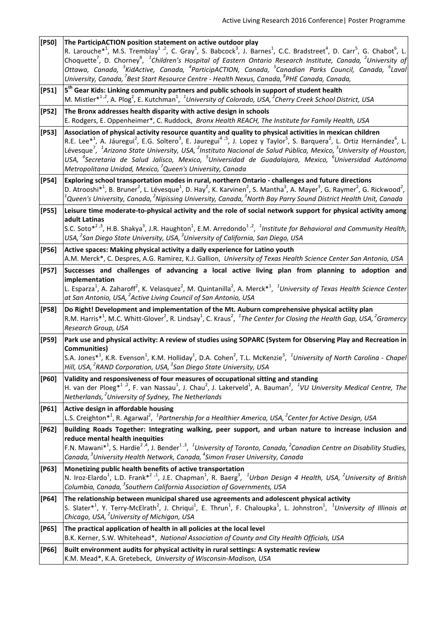| $[PSO]$ | The ParticipACTION position statement on active outdoor play<br>R. Larouche <sup>*1</sup> , M.S. Tremblay <sup>1</sup> <sup>,2</sup> , C. Gray <sup>1</sup> , S. Babcock <sup>3</sup> , J. Barnes <sup>1</sup> , C.C. Bradstreet <sup>4</sup> , D. Carr <sup>5</sup> , G. Chabot <sup>6</sup> , L.<br>Choquette <sup>7</sup> , D. Chorney <sup>8</sup> , <sup>1</sup> Children's Hospital of Eastern Ontario Research Institute, Canada, <sup>2</sup> University of<br>Ottawa, Canada, <sup>3</sup> KidActive, Canada, <sup>4</sup> ParticipACTION, Canada, <sup>5</sup> Canadian Parks Council, Canada, <sup>6</sup> Laval<br>University, Canada, <sup>7</sup> Best Start Resource Centre - Health Nexus, Canada, <sup>8</sup> PHE Canada, Canada, |
|---------|-----------------------------------------------------------------------------------------------------------------------------------------------------------------------------------------------------------------------------------------------------------------------------------------------------------------------------------------------------------------------------------------------------------------------------------------------------------------------------------------------------------------------------------------------------------------------------------------------------------------------------------------------------------------------------------------------------------------------------------------------------|
| $[PS1]$ | 5 <sup>th</sup> Gear Kids: Linking community partners and public schools in support of student health<br>M. Mistler <sup>*1,2</sup> , A. Plog <sup>2</sup> , E. Kutchman <sup>1</sup> , <sup>1</sup> University of Colorado, USA, <sup>2</sup> Cherry Creek School District, USA                                                                                                                                                                                                                                                                                                                                                                                                                                                                    |
| $[PS2]$ | The Bronx addresses health disparity with active design in schools<br>E. Rodgers, E. Oppenheimer*, C. Ruddock, Bronx Health REACH, The Institute for Family Health, USA                                                                                                                                                                                                                                                                                                                                                                                                                                                                                                                                                                             |
| $[PS3]$ | Association of physical activity resource quantity and quality to physical activities in mexican children<br>R.E. Lee <sup>*1</sup> , A. Jáuregui <sup>2</sup> , E.G. Soltero <sup>3</sup> , E. Jauregui <sup>4,5</sup> , J. Lopez y Taylor <sup>5</sup> , S. Barquera <sup>2</sup> , L. Ortiz Hernández <sup>6</sup> , L.<br>Lévesque <sup>7</sup> , <sup>1</sup> Arizona State University, USA, <sup>2</sup> Instituto Nacional de Salud Pública, Mexico, <sup>3</sup> University of Houston,<br>USA, <sup>4</sup> Secretaria de Salud Jalisco, Mexico, <sup>5</sup> Universidad de Guadalajara, Mexico, <sup>6</sup> Universidad Autónoma<br>Metropolitana Unidad, Mexico, <sup>7</sup> Queen's University, Canada                               |
| $[PS4]$ | Exploring school transportation modes in rural, northern Ontario - challenges and future directions<br>D. Atrooshi <sup>*1</sup> , B. Bruner <sup>2</sup> , L. Lévesque <sup>1</sup> , D. Hay <sup>2</sup> , K. Karvinen <sup>2</sup> , S. Mantha <sup>3</sup> , A. Mayer <sup>3</sup> , G. Raymer <sup>2</sup> , G. Rickwood <sup>2</sup> ,<br>$^1$ Queen's University, Canada, $^2$ Nipissing University, Canada, $^3$ North Bay Parry Sound District Health Unit, Canada                                                                                                                                                                                                                                                                         |
| $[PS5]$ | Leisure time moderate-to-physical activity and the role of social network support for physical activity among<br>adult Latinas<br>S.C. Soto* <sup>2,3</sup> , H.B. Shakya <sup>3</sup> , J.R. Haughton <sup>1</sup> , E.M. Arredondo <sup>1,2</sup> , <sup>1</sup> Institute for Behavioral and Community Health,<br>USA, <sup>2</sup> San Diego State University, USA, <sup>3</sup> University of California, San Diego, USA                                                                                                                                                                                                                                                                                                                       |
| $[PS6]$ | Active spaces: Making physical activity a daily experience for Latino youth<br>A.M. Merck*, C. Despres, A.G. Ramirez, K.J. Gallion, University of Texas Health Science Center San Antonio, USA                                                                                                                                                                                                                                                                                                                                                                                                                                                                                                                                                      |
| $[PS7]$ | Successes and challenges of advancing a local active living plan from planning to adoption and<br>implementation<br>L. Esparza <sup>1</sup> , A. Zaharoff <sup>2</sup> , K. Velasquez <sup>2</sup> , M. Quintanilla <sup>2</sup> , A. Merck* <sup>1</sup> , <sup>1</sup> University of Texas Health Science Center<br>at San Antonio, USA, <sup>2</sup> Active Living Council of San Antonio, USA                                                                                                                                                                                                                                                                                                                                                   |
| [P58]   | Do Right! Development and implementation of the Mt. Auburn comprehensive physical actiity plan<br>R.M. Harris <sup>*1</sup> , M.C. Whitt-Glover <sup>2</sup> , R. Lindsay <sup>1</sup> , C. Kraus <sup>2</sup> , <sup>1</sup> The Center for Closing the Health Gap, USA, <sup>2</sup> Gramercy<br>Research Group, USA                                                                                                                                                                                                                                                                                                                                                                                                                              |
| $[PS9]$ | Park use and physical activity: A review of studies using SOPARC (System for Observing Play and Recreation in<br><b>Communities</b> )<br>S.A. Jones <sup>*1</sup> , K.R. Evenson <sup>1</sup> , K.M. Holliday <sup>1</sup> , D.A. Cohen <sup>2</sup> , T.L. McKenzie <sup>3</sup> , <sup>1</sup> University of North Carolina - Chapel<br>Hill, USA, <sup>2</sup> RAND Corporation, USA, <sup>3</sup> San Diego State University, USA                                                                                                                                                                                                                                                                                                               |
| $[P60]$ | Validity and responsiveness of four measures of occupational sitting and standing<br>H. van der Ploeg* <sup>1,2</sup> , F. van Nassau <sup>1</sup> , J. Chau <sup>2</sup> , J. Lakerveld <sup>1</sup> , A. Bauman <sup>2</sup> , <sup>1</sup> VU University Medical Centre, The<br>Netherlands, <sup>2</sup> University of Sydney, The Netherlands                                                                                                                                                                                                                                                                                                                                                                                                  |
| [P61]   | Active design in affordable housing<br>L.S. Creighton* <sup>1</sup> , R. Agarwal <sup>2</sup> , <sup>1</sup> Partnership for a Healthier America, USA, <sup>2</sup> Center for Active Design, USA                                                                                                                                                                                                                                                                                                                                                                                                                                                                                                                                                   |
| $[P62]$ | Building Roads Together: Integrating walking, peer support, and urban nature to increase inclusion and<br>reduce mental health inequities<br>F.N. Mawani <sup>*1</sup> , S. Hardie <sup>2,4</sup> , J. Bender <sup>1,3</sup> , <sup>1</sup> University of Toronto, Canada, <sup>2</sup> Canadian Centre on Disability Studies,<br>Canada, <sup>3</sup> University Health Network, Canada, <sup>4</sup> Simon Fraser University, Canada                                                                                                                                                                                                                                                                                                              |
| [P63]   | Monetizing public health benefits of active transportation<br>N. Iroz-Elardo <sup>1</sup> , L.D. Frank <sup>*2,1</sup> , J.E. Chapman <sup>1</sup> , R. Baerg <sup>3</sup> , <sup>1</sup> Urban Design 4 Health, USA, <sup>2</sup> University of British<br>Columbia, Canada, <sup>3</sup> Southern California Association of Governments, USA                                                                                                                                                                                                                                                                                                                                                                                                      |
| $[P64]$ | The relationship between municipal shared use agreements and adolescent physical activity<br>S. Slater* <sup>1</sup> , Y. Terry-McElrath <sup>2</sup> , J. Chriqui <sup>1</sup> , E. Thrun <sup>1</sup> , F. Chaloupka <sup>1</sup> , L. Johnstron <sup>1</sup> , <sup>1</sup> University of Illinois at<br>Chicago, USA, <sup>2</sup> University of Michigan, USA                                                                                                                                                                                                                                                                                                                                                                                  |
| [P65]   | The practical application of health in all policies at the local level<br>B.K. Kerner, S.W. Whitehead*, National Association of County and City Health Officials, USA                                                                                                                                                                                                                                                                                                                                                                                                                                                                                                                                                                               |
| [P66]   | Built environment audits for physical activity in rural settings: A systematic review<br>K.M. Mead*, K.A. Gretebeck, University of Wisconsin-Madison, USA                                                                                                                                                                                                                                                                                                                                                                                                                                                                                                                                                                                           |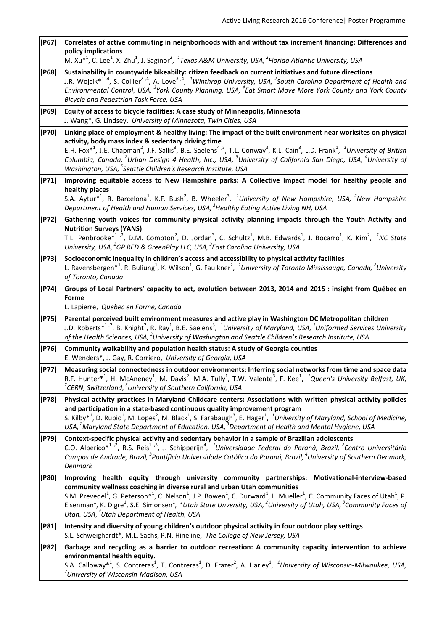| $[$ P67]  | Correlates of active commuting in neighborhoods with and without tax increment financing: Differences and<br>policy implications<br>M. Xu <sup>*1</sup> , C. Lee <sup>1</sup> , X. Zhu <sup>1</sup> , J. Saginor <sup>2</sup> , <sup>1</sup> Texas A&M University, USA, <sup>2</sup> Florida Atlantic University, USA                                                                                                                                                                                                                                                                                                                 |
|-----------|---------------------------------------------------------------------------------------------------------------------------------------------------------------------------------------------------------------------------------------------------------------------------------------------------------------------------------------------------------------------------------------------------------------------------------------------------------------------------------------------------------------------------------------------------------------------------------------------------------------------------------------|
| [P68]     | Sustainability in countywide bikeabilty: citizen feedback on current initiatives and future directions<br>J.R. Wojcik* <sup>1,4</sup> , S. Collier <sup>2,4</sup> , A. Love <sup>3,4</sup> , <sup>1</sup> Winthrop University, USA, <sup>2</sup> South Carolina Department of Health and<br>Environmental Control, USA, <sup>3</sup> York County Planning, USA, <sup>4</sup> Eat Smart Move More York County and York County<br>Bicycle and Pedestrian Task Force, USA                                                                                                                                                                |
| [P69]     | Equity of access to bicycle facilities: A case study of Minneapolis, Minnesota<br>J. Wang*, G. Lindsey, University of Minnesota, Twin Cities, USA                                                                                                                                                                                                                                                                                                                                                                                                                                                                                     |
| $[ P70]$  | Linking place of employment & healthy living: The impact of the built environment near worksites on physical<br>activity, body mass index & sedentary driving time<br>E.H. Fox <sup>*1</sup> , J.E. Chapman <sup>2</sup> , J.F. Sallis <sup>3</sup> , B.E. Saelens <sup>4,5</sup> , T.L. Conway <sup>3</sup> , K.L. Cain <sup>3</sup> , L.D. Frank <sup>1</sup> , <sup>1</sup> University of British<br>Columbia, Canada, <sup>2</sup> Urban Design 4 Health, Inc., USA, <sup>3</sup> University of California San Diego, USA, <sup>4</sup> University of<br>Washington, USA, <sup>5</sup> Seattle Children's Research Institute, USA |
| $[ P71]$  | Improving equitable access to New Hampshire parks: A Collective Impact model for healthy people and<br>healthy places<br>S.A. Aytur <sup>*1</sup> , R. Barcelona <sup>1</sup> , K.F. Bush <sup>2</sup> , B. Wheeler <sup>3</sup> , <sup>1</sup> University of New Hampshire, USA, <sup>2</sup> New Hampshire<br>Department of Health and Human Services, USA, <sup>3</sup> Healthy Eating Active Living NH, USA                                                                                                                                                                                                                       |
| $[ P72 ]$ | Gathering youth voices for community physical activity planning impacts through the Youth Activity and<br><b>Nutrition Surveys (YANS)</b><br>T.L. Penbrooke <sup>*1</sup> , <sup>2</sup> , D.M. Compton <sup>2</sup> , D. Jordan <sup>3</sup> , C. Schultz <sup>1</sup> , M.B. Edwards <sup>1</sup> , J. Bocarro <sup>1</sup> , K. Kim <sup>2</sup> , <sup>1</sup> NC State<br>University, USA, <sup>2</sup> GP RED & GreenPlay LLC, USA, <sup>3</sup> East Carolina University, USA                                                                                                                                                  |
| $[ P73 ]$ | Socioeconomic inequality in children's access and accessibility to physical activity facilities<br>L. Ravensbergen* <sup>1</sup> , R. Buliung <sup>1</sup> , K. Wilson <sup>1</sup> , G. Faulkner <sup>2</sup> , <sup>1</sup> University of Toronto Mississauga, Canada, <sup>2</sup> University<br>of Toronto, Canada                                                                                                                                                                                                                                                                                                                |
| $[ P74]$  | Groups of Local Partners' capacity to act, evolution between 2013, 2014 and 2015 : insight from Québec en<br>Forme<br>L. Lapierre, Québec en Forme, Canada                                                                                                                                                                                                                                                                                                                                                                                                                                                                            |
| $[ P75]$  | Parental perceived built environment measures and active play in Washington DC Metropolitan children<br>J.D. Roberts <sup>*1,2</sup> , B. Knight <sup>2</sup> , R. Ray <sup>1</sup> , B.E. Saelens <sup>3</sup> , <sup>1</sup> University of Maryland, USA, <sup>2</sup> Uniformed Services University<br>of the Health Sciences, USA, <sup>3</sup> University of Washington and Seattle Children's Research Institute, USA                                                                                                                                                                                                           |
| $[ P76]$  | Community walkability and population health status: A study of Georgia counties<br>E. Wenders*, J. Gay, R. Corriero, University of Georgia, USA                                                                                                                                                                                                                                                                                                                                                                                                                                                                                       |
| $[ P77 ]$ | Measuring social connectedness in outdoor environments: Inferring social networks from time and space data<br>R.F. Hunter* <sup>1</sup> , H. McAneney <sup>1</sup> , M. Davis <sup>2</sup> , M.A. Tully <sup>1</sup> , T.W. Valente <sup>3</sup> , F. Kee <sup>1</sup> , <sup>1</sup> Queen's University Belfast, UK,<br><sup>2</sup> CERN, Switzerland, <sup>3</sup> University of Southern California, USA                                                                                                                                                                                                                          |
| $[ P78 ]$ | Physical activity practices in Maryland Childcare centers: Associations with written physical activity policies<br>and participation in a state-based continuous quality improvement program<br>S. Kilby <sup>*1</sup> , D. Rubio <sup>1</sup> , M. Lopes <sup>2</sup> , M. Black <sup>1</sup> , S. Farabaugh <sup>3</sup> , E. Hager <sup>1</sup> , <sup>1</sup> University of Maryland, School of Medicine,<br>USA, <sup>2</sup> Maryland State Department of Education, USA, <sup>3</sup> Department of Health and Mental Hygiene, USA                                                                                             |
| $[ P79 ]$ | Context-specific physical activity and sedentary behavior in a sample of Brazilian adolescents<br>C.O. Alberico <sup>*1,2</sup> , R.S. Reis <sup>1,3</sup> , J. Schipperijn <sup>4</sup> , <sup>1</sup> Universidade Federal do Paraná, Brazil, <sup>2</sup> Centro Universitário<br>Campos de Andrade, Brazil, <sup>3</sup> Pontifícia Universidade Católica do Paraná, Brazil, <sup>4</sup> University of Southern Denmark,<br>Denmark                                                                                                                                                                                              |
| $[PSO]$   | Improving health equity through university community partnerships: Motivational-interview-based                                                                                                                                                                                                                                                                                                                                                                                                                                                                                                                                       |
|           | community wellness coaching in diverse rural and urban Utah communities<br>S.M. Prevedel <sup>1</sup> , G. Peterson* <sup>1</sup> , C. Nelson <sup>1</sup> , J.P. Bowen <sup>1</sup> , C. Durward <sup>1</sup> , L. Mueller <sup>1</sup> , C. Community Faces of Utah <sup>1</sup> , P.<br>Eisenman <sup>1</sup> , K. Digre <sup>1</sup> , S.E. Simonsen <sup>1</sup> , <sup>1</sup> Utah State Unversity, USA, <sup>2</sup> University of Utah, USA, <sup>3</sup> Community Faces of<br>Utah, USA, <sup>4</sup> Utah Department of Health, USA                                                                                       |
| [P81]     | Intensity and diversity of young children's outdoor physical activity in four outdoor play settings<br>S.L. Schweighardt*, M.L. Sachs, P.N. Hineline, The College of New Jersey, USA                                                                                                                                                                                                                                                                                                                                                                                                                                                  |